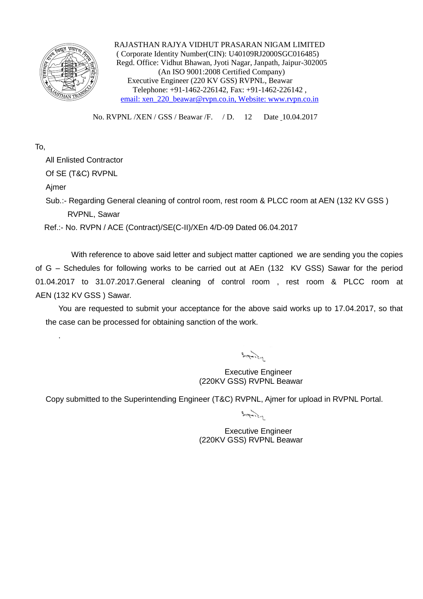

 RAJASTHAN RAJYA VIDHUT PRASARAN NIGAM LIMITED ( Corporate Identity Number(CIN): U40109RJ2000SGC016485) Regd. Office: Vidhut Bhawan, Jyoti Nagar, Janpath, Jaipur-302005 (An ISO 9001:2008 Certified Company) Executive Engineer (220 KV GSS) RVPNL, Beawar Telephone: +91-1462-226142, Fax: +91-1462-226142 , email: xen\_220\_beawar@rvpn.co.in, Website: www.rvpn.co.in

No. RVPNL /XEN / GSS / Beawar /F. / D. 12 Date 10.04.2017

## To,

All Enlisted Contractor

Of SE (T&C) RVPNL

Ajmer

.

Sub.:- Regarding General cleaning of control room, rest room & PLCC room at AEN (132 KV GSS) RVPNL, Sawar

Ref.:- No. RVPN / ACE (Contract)/SE(C-II)/XEn 4/D-09 Dated 06.04.2017

With reference to above said letter and subject matter captioned we are sending you the copies of G – Schedules for following works to be carried out at AEn (132 KV GSS) Sawar for the period 01.04.2017 to 31.07.2017.General cleaning of control room , rest room & PLCC room at AEN (132 KV GSS ) Sawar.

You are requested to submit your acceptance for the above said works up to 17.04.2017, so that the case can be processed for obtaining sanction of the work.

 $\frac{1}{2} \int \frac{1}{\sqrt{1-\frac{1}{2}} \cdot \frac{1}{2}} \, d\mu$ 

Executive Engineer (220KV GSS) RVPNL Beawar

Copy submitted to the Superintending Engineer (T&C) RVPNL, Ajmer for upload in RVPNL Portal.

 $3.77.2.2$ 

Executive Engineer (220KV GSS) RVPNL Beawar